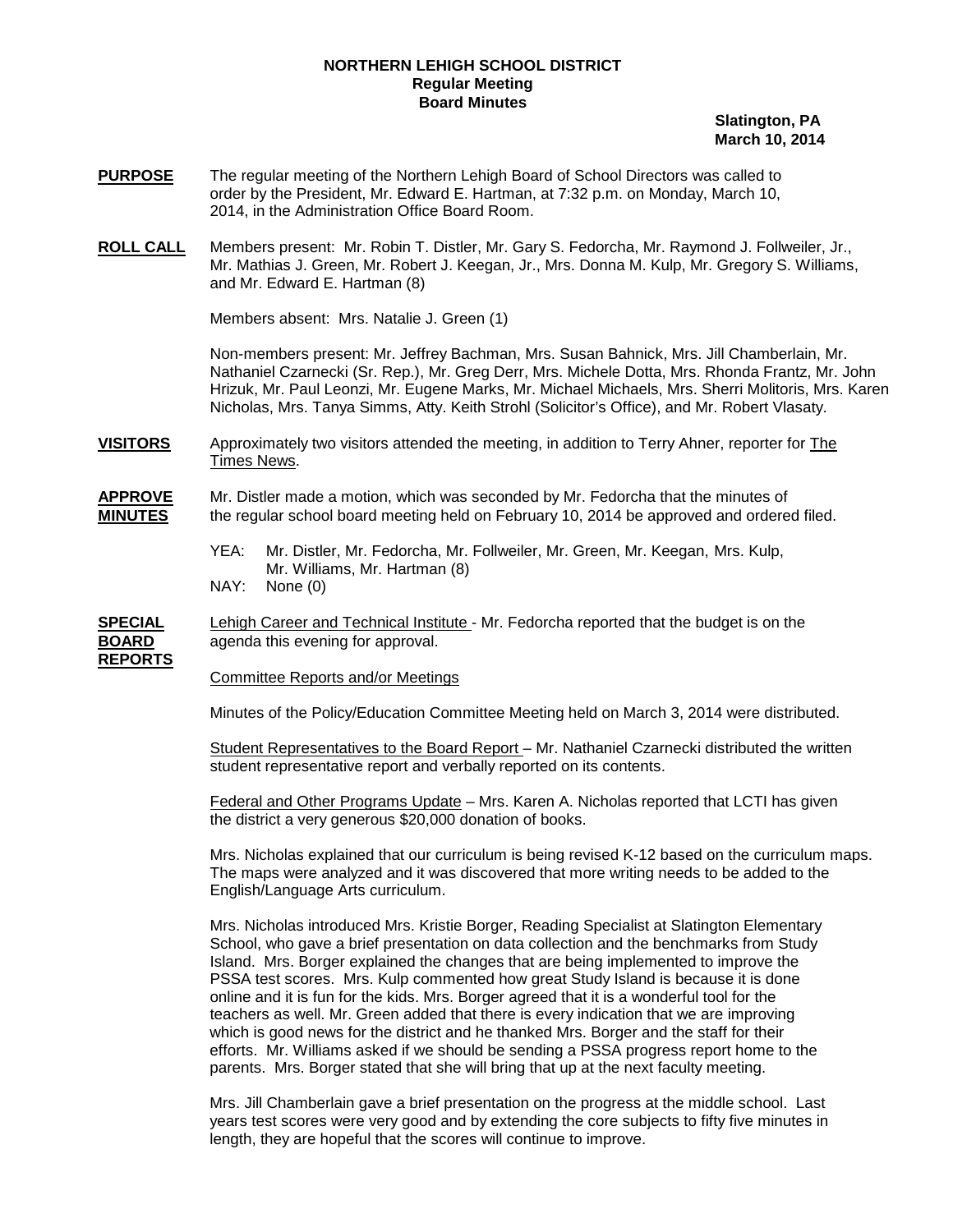## **NORTHERN LEHIGH SCHOOL DISTRICT Regular Meeting Board Minutes**

 **Slatington, PA March 10, 2014**

- **PURPOSE** The regular meeting of the Northern Lehigh Board of School Directors was called to order by the President, Mr. Edward E. Hartman, at 7:32 p.m. on Monday, March 10, 2014, in the Administration Office Board Room.
- **ROLL CALL** Members present: Mr. Robin T. Distler, Mr. Gary S. Fedorcha, Mr. Raymond J. Follweiler, Jr., Mr. Mathias J. Green, Mr. Robert J. Keegan, Jr., Mrs. Donna M. Kulp, Mr. Gregory S. Williams, and Mr. Edward E. Hartman (8)

Members absent: Mrs. Natalie J. Green (1)

Non-members present: Mr. Jeffrey Bachman, Mrs. Susan Bahnick, Mrs. Jill Chamberlain, Mr. Nathaniel Czarnecki (Sr. Rep.), Mr. Greg Derr, Mrs. Michele Dotta, Mrs. Rhonda Frantz, Mr. John Hrizuk, Mr. Paul Leonzi, Mr. Eugene Marks, Mr. Michael Michaels, Mrs. Sherri Molitoris, Mrs. Karen Nicholas, Mrs. Tanya Simms, Atty. Keith Strohl (Solicitor's Office), and Mr. Robert Vlasaty.

**VISITORS** Approximately two visitors attended the meeting, in addition to Terry Ahner, reporter for The Times News.

**APPROVE** Mr. Distler made a motion, which was seconded by Mr. Fedorcha that the minutes of **MINUTES** the regular school board meeting held on February 10, 2014 be approved and ordered filed.

- YEA: Mr. Distler, Mr. Fedorcha, Mr. Follweiler, Mr. Green, Mr. Keegan, Mrs. Kulp, Mr. Williams, Mr. Hartman (8)
- NAY: None (0)

**SPECIAL** Lehigh Career and Technical Institute - Mr. Fedorcha reported that the budget is on the **BOARD** agenda this evening for approval. **REPORTS**

Committee Reports and/or Meetings

Minutes of the Policy/Education Committee Meeting held on March 3, 2014 were distributed.

Student Representatives to the Board Report – Mr. Nathaniel Czarnecki distributed the written student representative report and verbally reported on its contents.

Federal and Other Programs Update – Mrs. Karen A. Nicholas reported that LCTI has given the district a very generous \$20,000 donation of books.

Mrs. Nicholas explained that our curriculum is being revised K-12 based on the curriculum maps. The maps were analyzed and it was discovered that more writing needs to be added to the English/Language Arts curriculum.

Mrs. Nicholas introduced Mrs. Kristie Borger, Reading Specialist at Slatington Elementary School, who gave a brief presentation on data collection and the benchmarks from Study Island. Mrs. Borger explained the changes that are being implemented to improve the PSSA test scores. Mrs. Kulp commented how great Study Island is because it is done online and it is fun for the kids. Mrs. Borger agreed that it is a wonderful tool for the teachers as well. Mr. Green added that there is every indication that we are improving which is good news for the district and he thanked Mrs. Borger and the staff for their efforts. Mr. Williams asked if we should be sending a PSSA progress report home to the parents. Mrs. Borger stated that she will bring that up at the next faculty meeting.

Mrs. Jill Chamberlain gave a brief presentation on the progress at the middle school. Last years test scores were very good and by extending the core subjects to fifty five minutes in length, they are hopeful that the scores will continue to improve.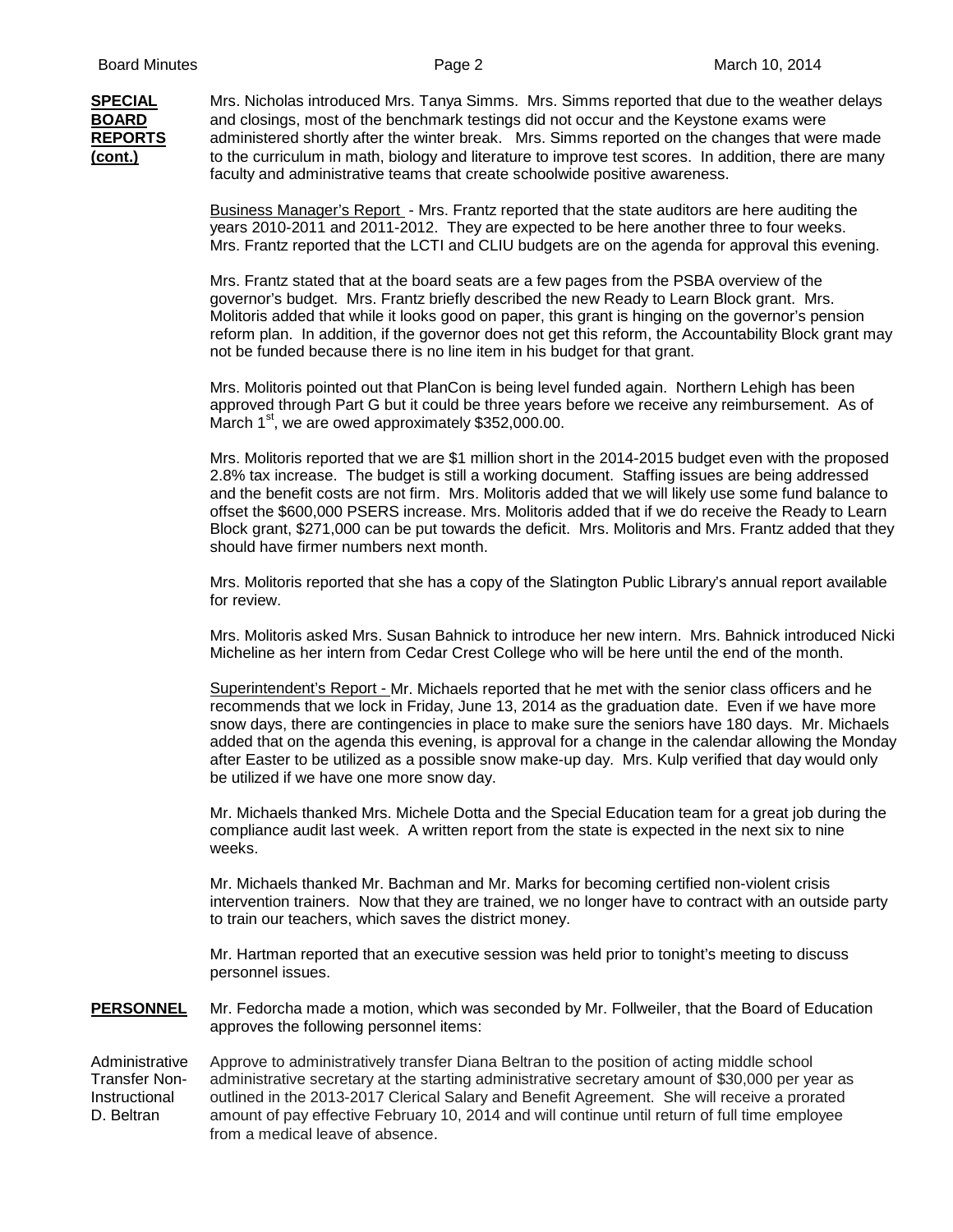**SPECIAL** Mrs. Nicholas introduced Mrs. Tanya Simms. Mrs. Simms reported that due to the weather delays **BOARD** and closings, most of the benchmark testings did not occur and the Keystone exams were **REPORTS** administered shortly after the winter break. Mrs. Simms reported on the changes that were made **(cont.)** to the curriculum in math, biology and literature to improve test scores. In addition, there are many faculty and administrative teams that create schoolwide positive awareness.

> Business Manager's Report - Mrs. Frantz reported that the state auditors are here auditing the years 2010-2011 and 2011-2012. They are expected to be here another three to four weeks. Mrs. Frantz reported that the LCTI and CLIU budgets are on the agenda for approval this evening.

Mrs. Frantz stated that at the board seats are a few pages from the PSBA overview of the governor's budget. Mrs. Frantz briefly described the new Ready to Learn Block grant. Mrs. Molitoris added that while it looks good on paper, this grant is hinging on the governor's pension reform plan. In addition, if the governor does not get this reform, the Accountability Block grant may not be funded because there is no line item in his budget for that grant.

Mrs. Molitoris pointed out that PlanCon is being level funded again. Northern Lehigh has been approved through Part G but it could be three years before we receive any reimbursement. As of March  $1<sup>st</sup>$ , we are owed approximately \$352,000.00.

Mrs. Molitoris reported that we are \$1 million short in the 2014-2015 budget even with the proposed 2.8% tax increase. The budget is still a working document. Staffing issues are being addressed and the benefit costs are not firm. Mrs. Molitoris added that we will likely use some fund balance to offset the \$600,000 PSERS increase. Mrs. Molitoris added that if we do receive the Ready to Learn Block grant, \$271,000 can be put towards the deficit. Mrs. Molitoris and Mrs. Frantz added that they should have firmer numbers next month.

Mrs. Molitoris reported that she has a copy of the Slatington Public Library's annual report available for review.

Mrs. Molitoris asked Mrs. Susan Bahnick to introduce her new intern. Mrs. Bahnick introduced Nicki Micheline as her intern from Cedar Crest College who will be here until the end of the month.

Superintendent's Report - Mr. Michaels reported that he met with the senior class officers and he recommends that we lock in Friday, June 13, 2014 as the graduation date. Even if we have more snow days, there are contingencies in place to make sure the seniors have 180 days. Mr. Michaels added that on the agenda this evening, is approval for a change in the calendar allowing the Monday after Easter to be utilized as a possible snow make-up day. Mrs. Kulp verified that day would only be utilized if we have one more snow day.

Mr. Michaels thanked Mrs. Michele Dotta and the Special Education team for a great job during the compliance audit last week. A written report from the state is expected in the next six to nine weeks.

Mr. Michaels thanked Mr. Bachman and Mr. Marks for becoming certified non-violent crisis intervention trainers. Now that they are trained, we no longer have to contract with an outside party to train our teachers, which saves the district money.

Mr. Hartman reported that an executive session was held prior to tonight's meeting to discuss personnel issues.

**PERSONNEL** Mr. Fedorcha made a motion, which was seconded by Mr. Follweiler, that the Board of Education approves the following personnel items:

Administrative Approve to administratively transfer Diana Beltran to the position of acting middle school Transfer Non- administrative secretary at the starting administrative secretary amount of \$30,000 per year as Instructional outlined in the 2013-2017 Clerical Salary and Benefit Agreement. She will receive a prorated<br>D. Beltran amount of pay effective February 10, 2014 and will continue until return of full time employee amount of pay effective February 10, 2014 and will continue until return of full time employee from a medical leave of absence.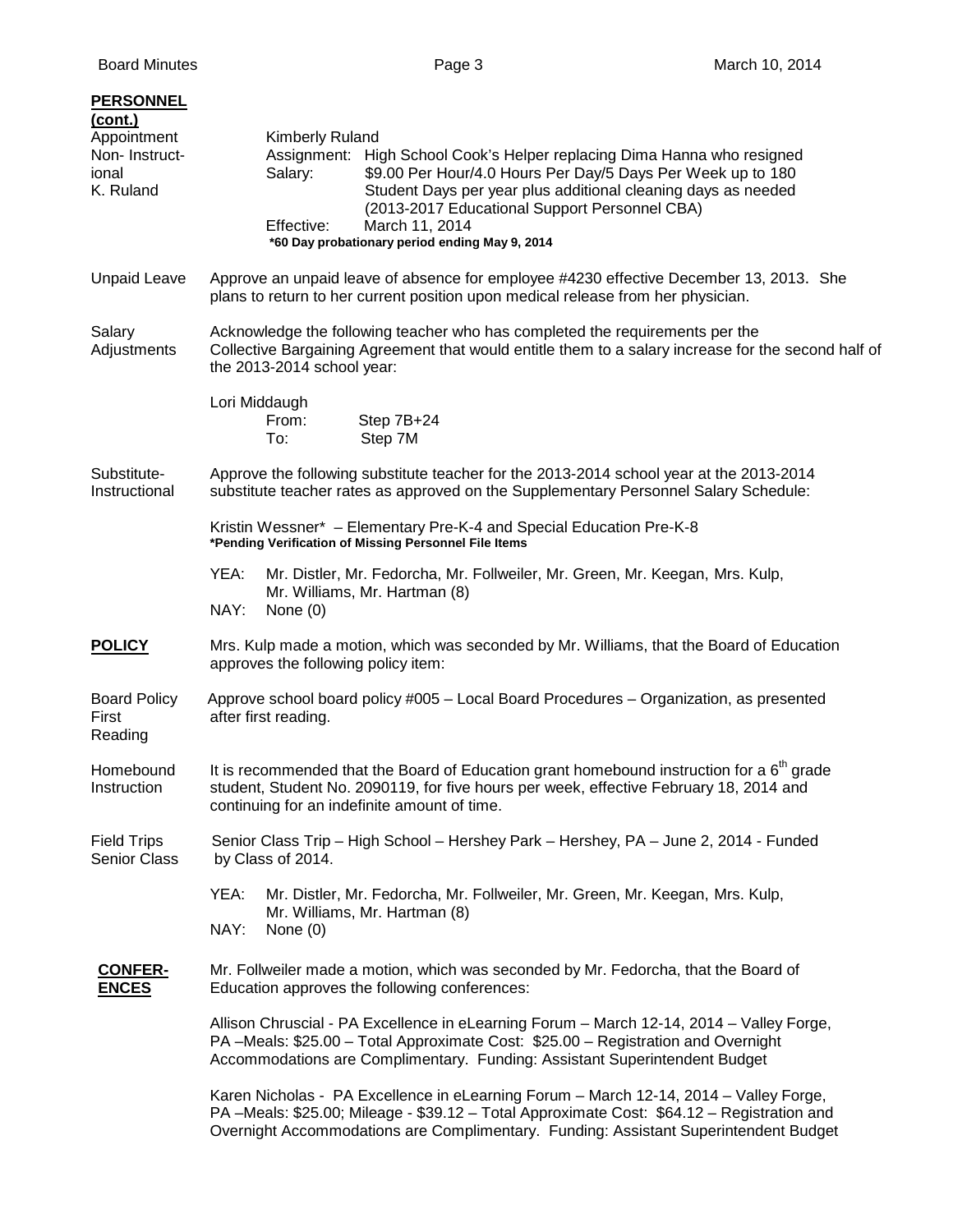| <b>PERSONNEL</b><br><u>(cont.)</u>                 |                                                                                                                                                                                                                                                                                               |  |
|----------------------------------------------------|-----------------------------------------------------------------------------------------------------------------------------------------------------------------------------------------------------------------------------------------------------------------------------------------------|--|
| Appointment<br>Non-Instruct-<br>ional<br>K. Ruland | <b>Kimberly Ruland</b><br>Assignment: High School Cook's Helper replacing Dima Hanna who resigned<br>\$9.00 Per Hour/4.0 Hours Per Day/5 Days Per Week up to 180<br>Salary:<br>Student Days per year plus additional cleaning days as needed<br>(2013-2017 Educational Support Personnel CBA) |  |
|                                                    | Effective:<br>March 11, 2014<br>*60 Day probationary period ending May 9, 2014                                                                                                                                                                                                                |  |
| <b>Unpaid Leave</b>                                | Approve an unpaid leave of absence for employee #4230 effective December 13, 2013. She<br>plans to return to her current position upon medical release from her physician.                                                                                                                    |  |
| Salary<br>Adjustments                              | Acknowledge the following teacher who has completed the requirements per the<br>Collective Bargaining Agreement that would entitle them to a salary increase for the second half of<br>the 2013-2014 school year:                                                                             |  |
|                                                    | Lori Middaugh<br>From:<br>Step 7B+24<br>Step 7M<br>To:                                                                                                                                                                                                                                        |  |
| Substitute-<br>Instructional                       | Approve the following substitute teacher for the 2013-2014 school year at the 2013-2014<br>substitute teacher rates as approved on the Supplementary Personnel Salary Schedule:                                                                                                               |  |
|                                                    | Kristin Wessner* - Elementary Pre-K-4 and Special Education Pre-K-8<br>*Pending Verification of Missing Personnel File Items                                                                                                                                                                  |  |
|                                                    | Mr. Distler, Mr. Fedorcha, Mr. Follweiler, Mr. Green, Mr. Keegan, Mrs. Kulp,<br>YEA:<br>Mr. Williams, Mr. Hartman (8)<br>NAY:<br>None $(0)$                                                                                                                                                   |  |
| <b>POLICY</b>                                      | Mrs. Kulp made a motion, which was seconded by Mr. Williams, that the Board of Education<br>approves the following policy item:                                                                                                                                                               |  |
| <b>Board Policy</b><br>First<br>Reading            | Approve school board policy #005 - Local Board Procedures - Organization, as presented<br>after first reading.                                                                                                                                                                                |  |
| Homebound<br>Instruction                           | It is recommended that the Board of Education grant homebound instruction for a $6th$ grade<br>student, Student No. 2090119, for five hours per week, effective February 18, 2014 and<br>continuing for an indefinite amount of time.                                                         |  |
| <b>Field Trips</b><br><b>Senior Class</b>          | Senior Class Trip - High School - Hershey Park - Hershey, PA - June 2, 2014 - Funded<br>by Class of 2014.                                                                                                                                                                                     |  |
|                                                    | YEA:<br>Mr. Distler, Mr. Fedorcha, Mr. Follweiler, Mr. Green, Mr. Keegan, Mrs. Kulp,<br>Mr. Williams, Mr. Hartman (8)                                                                                                                                                                         |  |
|                                                    | NAY:<br>None $(0)$                                                                                                                                                                                                                                                                            |  |
| <b>CONFER-</b><br><b>ENCES</b>                     | Mr. Follweiler made a motion, which was seconded by Mr. Fedorcha, that the Board of<br>Education approves the following conferences:                                                                                                                                                          |  |
|                                                    | Allison Chruscial - PA Excellence in eLearning Forum - March 12-14, 2014 - Valley Forge,<br>PA-Meals: \$25.00 - Total Approximate Cost: \$25.00 - Registration and Overnight<br>Accommodations are Complimentary. Funding: Assistant Superintendent Budget                                    |  |
|                                                    | Karen Nicholas - PA Excellence in eLearning Forum - March 12-14, 2014 - Valley Forge,<br>PA-Meals: \$25.00; Mileage - \$39.12 - Total Approximate Cost: \$64.12 - Registration and<br>Overnight Accommodations are Complimentary. Funding: Assistant Superintendent Budget                    |  |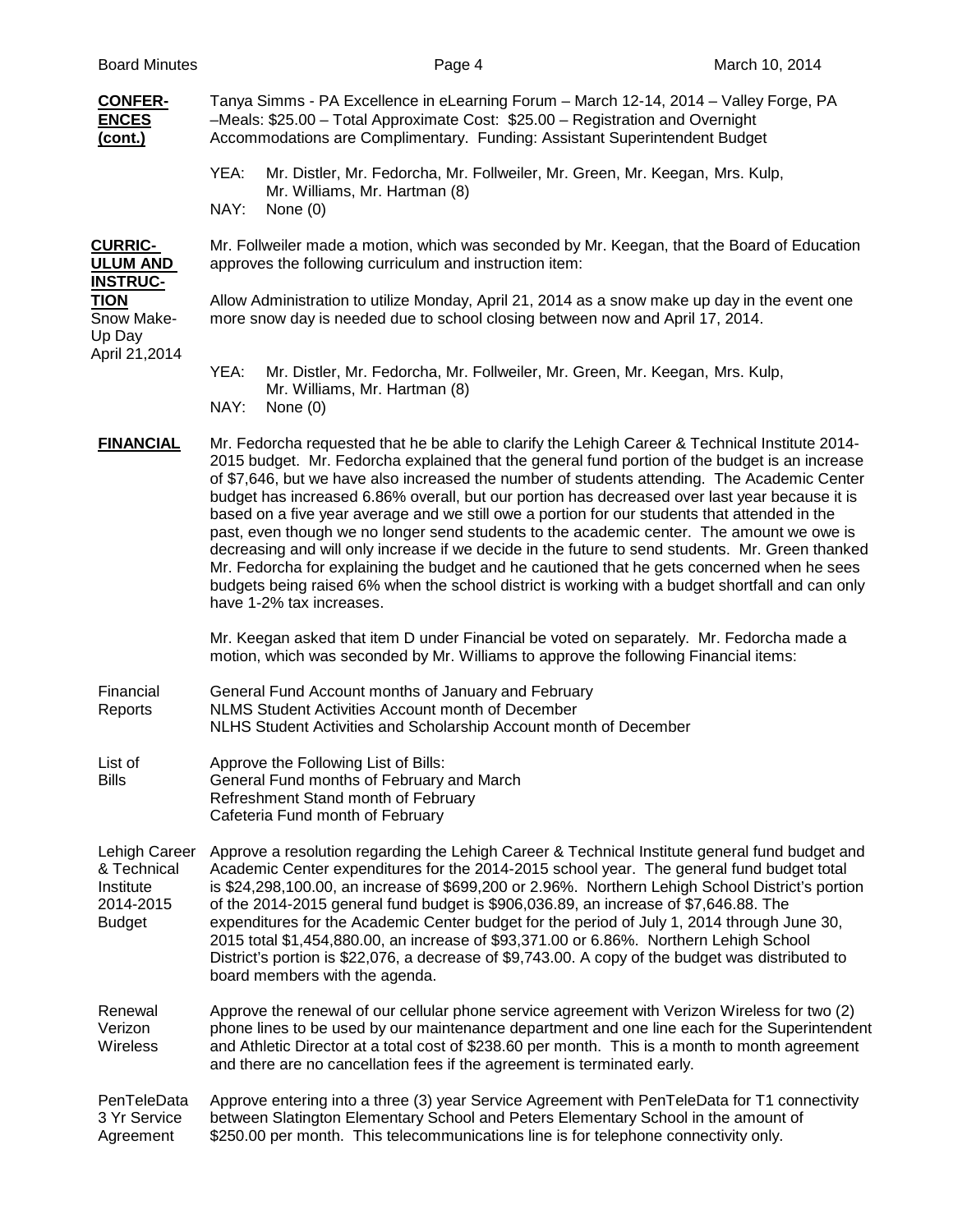| <b>Board Minutes</b>                                                    | Page 4                                                                                                                                                                                                                                                                                                                                                                                                                                                                                                                                                                                                                                                                                                                                                                                                                                                                                                                               | March 10, 2014 |
|-------------------------------------------------------------------------|--------------------------------------------------------------------------------------------------------------------------------------------------------------------------------------------------------------------------------------------------------------------------------------------------------------------------------------------------------------------------------------------------------------------------------------------------------------------------------------------------------------------------------------------------------------------------------------------------------------------------------------------------------------------------------------------------------------------------------------------------------------------------------------------------------------------------------------------------------------------------------------------------------------------------------------|----------------|
| <b>CONFER-</b><br><b>ENCES</b><br>(cont.)                               | Tanya Simms - PA Excellence in eLearning Forum - March 12-14, 2014 - Valley Forge, PA<br>-Meals: \$25.00 - Total Approximate Cost: \$25.00 - Registration and Overnight<br>Accommodations are Complimentary. Funding: Assistant Superintendent Budget                                                                                                                                                                                                                                                                                                                                                                                                                                                                                                                                                                                                                                                                                |                |
|                                                                         | YEA:<br>Mr. Distler, Mr. Fedorcha, Mr. Follweiler, Mr. Green, Mr. Keegan, Mrs. Kulp,<br>Mr. Williams, Mr. Hartman (8)<br>NAY:<br>None $(0)$                                                                                                                                                                                                                                                                                                                                                                                                                                                                                                                                                                                                                                                                                                                                                                                          |                |
| <b>CURRIC-</b><br><u>ULUM AND</u><br><b>INSTRUC-</b>                    | Mr. Follweiler made a motion, which was seconded by Mr. Keegan, that the Board of Education<br>approves the following curriculum and instruction item:                                                                                                                                                                                                                                                                                                                                                                                                                                                                                                                                                                                                                                                                                                                                                                               |                |
| TION<br>Snow Make-<br>Up Day<br>April 21,2014                           | Allow Administration to utilize Monday, April 21, 2014 as a snow make up day in the event one<br>more snow day is needed due to school closing between now and April 17, 2014.                                                                                                                                                                                                                                                                                                                                                                                                                                                                                                                                                                                                                                                                                                                                                       |                |
|                                                                         | YEA:<br>Mr. Distler, Mr. Fedorcha, Mr. Follweiler, Mr. Green, Mr. Keegan, Mrs. Kulp,<br>Mr. Williams, Mr. Hartman (8)<br>NAY:<br>None $(0)$                                                                                                                                                                                                                                                                                                                                                                                                                                                                                                                                                                                                                                                                                                                                                                                          |                |
| <b>FINANCIAL</b>                                                        | Mr. Fedorcha requested that he be able to clarify the Lehigh Career & Technical Institute 2014-<br>2015 budget. Mr. Fedorcha explained that the general fund portion of the budget is an increase<br>of \$7,646, but we have also increased the number of students attending. The Academic Center<br>budget has increased 6.86% overall, but our portion has decreased over last year because it is<br>based on a five year average and we still owe a portion for our students that attended in the<br>past, even though we no longer send students to the academic center. The amount we owe is<br>decreasing and will only increase if we decide in the future to send students. Mr. Green thanked<br>Mr. Fedorcha for explaining the budget and he cautioned that he gets concerned when he sees<br>budgets being raised 6% when the school district is working with a budget shortfall and can only<br>have 1-2% tax increases. |                |
|                                                                         | Mr. Keegan asked that item D under Financial be voted on separately. Mr. Fedorcha made a<br>motion, which was seconded by Mr. Williams to approve the following Financial items:                                                                                                                                                                                                                                                                                                                                                                                                                                                                                                                                                                                                                                                                                                                                                     |                |
| Financial<br>Reports                                                    | General Fund Account months of January and February<br>NLMS Student Activities Account month of December<br>NLHS Student Activities and Scholarship Account month of December                                                                                                                                                                                                                                                                                                                                                                                                                                                                                                                                                                                                                                                                                                                                                        |                |
| List of<br><b>Bills</b>                                                 | Approve the Following List of Bills:<br>General Fund months of February and March<br>Refreshment Stand month of February<br>Cafeteria Fund month of February                                                                                                                                                                                                                                                                                                                                                                                                                                                                                                                                                                                                                                                                                                                                                                         |                |
| Lehigh Career<br>& Technical<br>Institute<br>2014-2015<br><b>Budget</b> | Approve a resolution regarding the Lehigh Career & Technical Institute general fund budget and<br>Academic Center expenditures for the 2014-2015 school year. The general fund budget total<br>is \$24,298,100.00, an increase of \$699,200 or 2.96%. Northern Lehigh School District's portion<br>of the 2014-2015 general fund budget is \$906,036.89, an increase of \$7,646.88. The<br>expenditures for the Academic Center budget for the period of July 1, 2014 through June 30,<br>2015 total \$1,454,880.00, an increase of \$93,371.00 or 6.86%. Northern Lehigh School<br>District's portion is \$22,076, a decrease of \$9,743.00. A copy of the budget was distributed to<br>board members with the agenda.                                                                                                                                                                                                              |                |
| Renewal<br>Verizon<br>Wireless                                          | Approve the renewal of our cellular phone service agreement with Verizon Wireless for two (2)<br>phone lines to be used by our maintenance department and one line each for the Superintendent<br>and Athletic Director at a total cost of \$238.60 per month. This is a month to month agreement<br>and there are no cancellation fees if the agreement is terminated early.                                                                                                                                                                                                                                                                                                                                                                                                                                                                                                                                                        |                |
| PenTeleData<br>3 Yr Service<br>Agreement                                | Approve entering into a three (3) year Service Agreement with PenTeleData for T1 connectivity<br>between Slatington Elementary School and Peters Elementary School in the amount of<br>\$250.00 per month. This telecommunications line is for telephone connectivity only.                                                                                                                                                                                                                                                                                                                                                                                                                                                                                                                                                                                                                                                          |                |